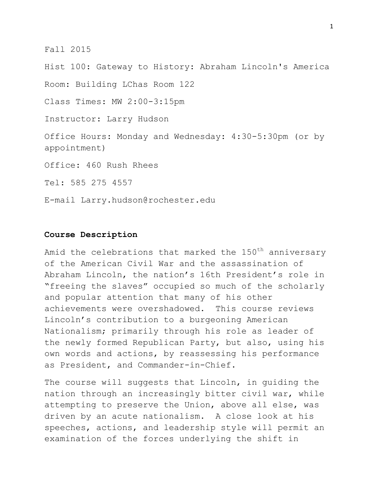Fall 2015

Hist 100: Gateway to History: Abraham Lincoln's America

Room: Building LChas Room 122

Class Times: MW 2:00-3:15pm

Instructor: Larry Hudson

Office Hours: Monday and Wednesday: 4:30-5:30pm (or by appointment)

Office: 460 Rush Rhees

Tel: 585 275 4557

E-mail Larry.hudson@rochester.edu

### **Course Description**

Amid the celebrations that marked the 150<sup>th</sup> anniversary of the American Civil War and the assassination of Abraham Lincoln, the nation's 16th President's role in "freeing the slaves" occupied so much of the scholarly and popular attention that many of his other achievements were overshadowed. This course reviews Lincoln's contribution to a burgeoning American Nationalism; primarily through his role as leader of the newly formed Republican Party, but also, using his own words and actions, by reassessing his performance as President, and Commander-in-Chief.

The course will suggests that Lincoln, in guiding the nation through an increasingly bitter civil war, while attempting to preserve the Union, above all else, was driven by an acute nationalism. A close look at his speeches, actions, and leadership style will permit an examination of the forces underlying the shift in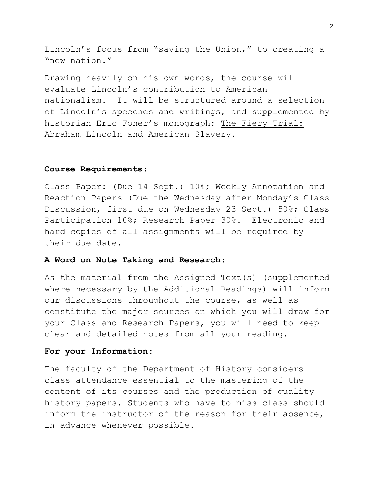Lincoln's focus from "saving the Union," to creating a "new nation."

Drawing heavily on his own words, the course will evaluate Lincoln's contribution to American nationalism. It will be structured around a selection of Lincoln's speeches and writings, and supplemented by historian Eric Foner's monograph: The Fiery Trial: Abraham Lincoln and American Slavery.

#### **Course Requirements**:

Class Paper: (Due 14 Sept.) 10%; Weekly Annotation and Reaction Papers (Due the Wednesday after Monday's Class Discussion, first due on Wednesday 23 Sept.) 50%; Class Participation 10%; Research Paper 30%. Electronic and hard copies of all assignments will be required by their due date.

#### **A Word on Note Taking and Research**:

As the material from the Assigned Text(s) (supplemented where necessary by the Additional Readings) will inform our discussions throughout the course, as well as constitute the major sources on which you will draw for your Class and Research Papers, you will need to keep clear and detailed notes from all your reading.

#### **For your Information**:

The faculty of the Department of History considers class attendance essential to the mastering of the content of its courses and the production of quality history papers. Students who have to miss class should inform the instructor of the reason for their absence, in advance whenever possible.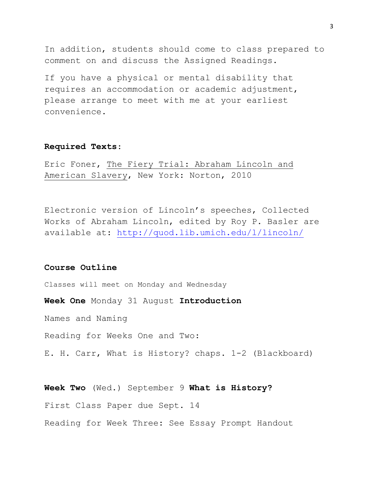In addition, students should come to class prepared to comment on and discuss the Assigned Readings.

If you have a physical or mental disability that requires an accommodation or academic adjustment, please arrange to meet with me at your earliest convenience.

### **Required Texts**:

Eric Foner, The Fiery Trial: Abraham Lincoln and American Slavery, New York: Norton, 2010

Electronic version of Lincoln's speeches, Collected Works of Abraham Lincoln, edited by Roy P. Basler are available at:<http://quod.lib.umich.edu/l/lincoln/>

### **Course Outline**

Classes will meet on Monday and Wednesday

**Week One** Monday 31 August **Introduction**

Names and Naming

Reading for Weeks One and Two:

E. H. Carr, What is History? chaps. 1-2 (Blackboard)

**Week Two** (Wed.) September 9 **What is History?** First Class Paper due Sept. 14 Reading for Week Three: See Essay Prompt Handout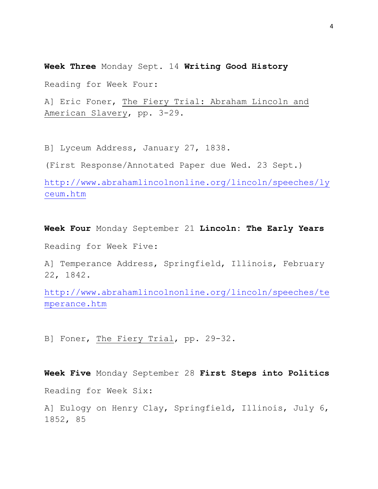**Week Three** Monday Sept. 14 **Writing Good History**

Reading for Week Four:

A] Eric Foner, The Fiery Trial: Abraham Lincoln and American Slavery, pp. 3-29.

B] Lyceum Address, January 27, 1838.

(First Response/Annotated Paper due Wed. 23 Sept.)

[http://www.abrahamlincolnonline.org/lincoln/speeches/ly](http://www.abrahamlincolnonline.org/lincoln/speeches/lyceum.htm) [ceum.htm](http://www.abrahamlincolnonline.org/lincoln/speeches/lyceum.htm)

**Week Four** Monday September 21 **Lincoln: The Early Years** Reading for Week Five:

A] Temperance Address, Springfield, Illinois, February 22, 1842.

[http://www.abrahamlincolnonline.org/lincoln/speeches/te](http://www.abrahamlincolnonline.org/lincoln/speeches/temperance.htm) [mperance.htm](http://www.abrahamlincolnonline.org/lincoln/speeches/temperance.htm)

B] Foner, The Fiery Trial, pp. 29-32.

**Week Five** Monday September 28 **First Steps into Politics** Reading for Week Six:

A] Eulogy on Henry Clay, Springfield, Illinois, July 6, 1852, 85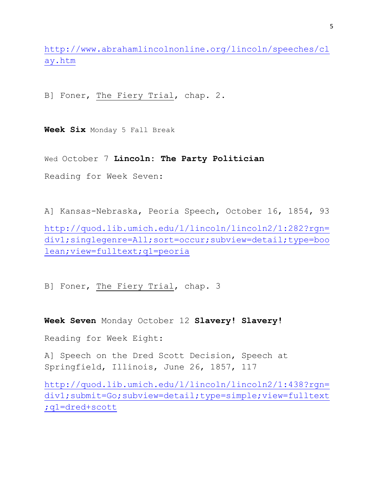[http://www.abrahamlincolnonline.org/lincoln/speeches/cl](http://www.abrahamlincolnonline.org/lincoln/speeches/clay.htm) [ay.htm](http://www.abrahamlincolnonline.org/lincoln/speeches/clay.htm)

B] Foner, The Fiery Trial, chap. 2.

**Week Six** Monday 5 Fall Break

Wed October 7 **Lincoln: The Party Politician**

Reading for Week Seven:

A] Kansas-Nebraska, Peoria Speech, October 16, 1854, 93

[http://quod.lib.umich.edu/l/lincoln/lincoln2/1:282?rgn=](http://quod.lib.umich.edu/l/lincoln/lincoln2/1:282?rgn=div1;singlegenre=All;sort=occur;subview=detail;type=boolean;view=fulltext;q1=peoria) [div1;singlegenre=All;sort=occur;subview=detail;type=boo](http://quod.lib.umich.edu/l/lincoln/lincoln2/1:282?rgn=div1;singlegenre=All;sort=occur;subview=detail;type=boolean;view=fulltext;q1=peoria) [lean;view=fulltext;q1=peoria](http://quod.lib.umich.edu/l/lincoln/lincoln2/1:282?rgn=div1;singlegenre=All;sort=occur;subview=detail;type=boolean;view=fulltext;q1=peoria)

B] Foner, The Fiery Trial, chap. 3

**Week Seven** Monday October 12 **Slavery! Slavery!**

Reading for Week Eight:

A] Speech on the Dred Scott Decision, Speech at Springfield, Illinois, June 26, 1857, 117

[http://quod.lib.umich.edu/l/lincoln/lincoln2/1:438?rgn=](http://quod.lib.umich.edu/l/lincoln/lincoln2/1:438?rgn=div1;submit=Go;subview=detail;type=simple;view=fulltext;q1=dred+scott) [div1;submit=Go;subview=detail;type=simple;view=fulltext](http://quod.lib.umich.edu/l/lincoln/lincoln2/1:438?rgn=div1;submit=Go;subview=detail;type=simple;view=fulltext;q1=dred+scott) [;q1=dred+scott](http://quod.lib.umich.edu/l/lincoln/lincoln2/1:438?rgn=div1;submit=Go;subview=detail;type=simple;view=fulltext;q1=dred+scott)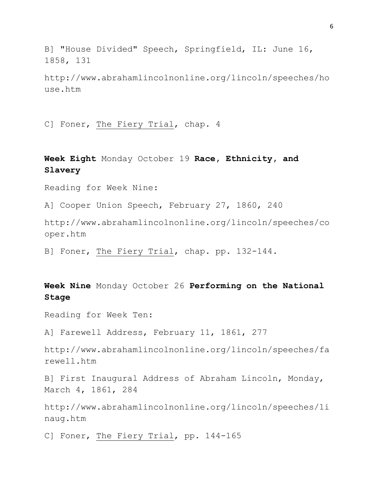B] "House Divided" Speech, Springfield, IL: June 16, 1858, 131

http://www.abrahamlincolnonline.org/lincoln/speeches/ho use.htm

C] Foner, The Fiery Trial, chap. 4

**Week Eight** Monday October 19 **Race, Ethnicity, and Slavery**

Reading for Week Nine:

A] Cooper Union Speech, February 27, 1860, 240

http://www.abrahamlincolnonline.org/lincoln/speeches/co oper.htm

B] Foner, The Fiery Trial, chap. pp. 132-144.

**Week Nine** Monday October 26 **Performing on the National Stage**

Reading for Week Ten:

A] Farewell Address, February 11, 1861, 277

http://www.abrahamlincolnonline.org/lincoln/speeches/fa rewell.htm

B] First Inaugural Address of Abraham Lincoln, Monday, March 4, 1861, 284

http://www.abrahamlincolnonline.org/lincoln/speeches/1i naug.htm

C] Foner, The Fiery Trial, pp. 144-165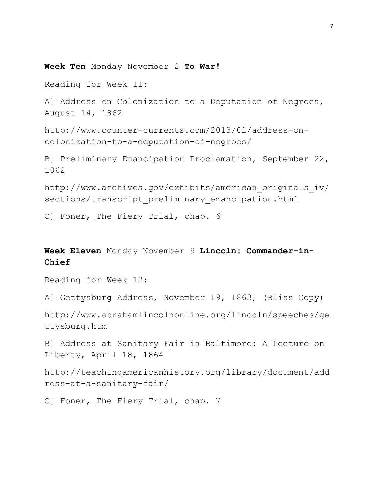**Week Ten** Monday November 2 **To War!**

Reading for Week 11:

A] Address on Colonization to a Deputation of Negroes, August 14, 1862

http://www.counter-currents.com/2013/01/address-oncolonization-to-a-deputation-of-negroes/

B] Preliminary Emancipation Proclamation, September 22, 1862

http://www.archives.gov/exhibits/american\_originals\_iv/ sections/transcript preliminary emancipation.html

C] Foner, The Fiery Trial, chap. 6

**Week Eleven** Monday November 9 **Lincoln: Commander-in-Chief**

Reading for Week 12:

A] Gettysburg Address, November 19, 1863, (Bliss Copy)

http://www.abrahamlincolnonline.org/lincoln/speeches/ge ttysburg.htm

B] Address at Sanitary Fair in Baltimore: A Lecture on Liberty, April 18, 1864

http://teachingamericanhistory.org/library/document/add ress-at-a-sanitary-fair/

C] Foner, The Fiery Trial, chap. 7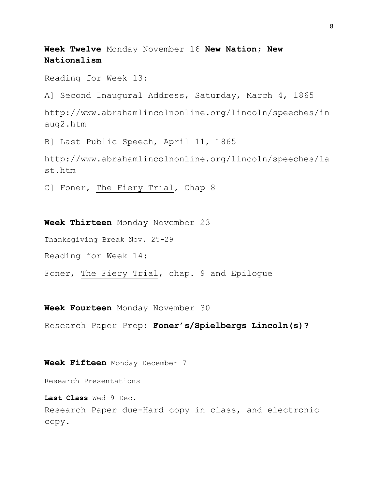**Week Twelve** Monday November 16 **New Nation; New Nationalism**

Reading for Week 13:

A] Second Inaugural Address, Saturday, March 4, 1865

http://www.abrahamlincolnonline.org/lincoln/speeches/in aug2.htm

B] Last Public Speech, April 11, 1865

http://www.abrahamlincolnonline.org/lincoln/speeches/la st.htm

C] Foner, The Fiery Trial, Chap 8

**Week Thirteen** Monday November 23

Thanksgiving Break Nov. 25-29

Reading for Week 14:

Foner, The Fiery Trial, chap. 9 and Epilogue

**Week Fourteen** Monday November 30

Research Paper Prep: **Foner's/Spielbergs Lincoln(s)?**

**Week Fifteen** Monday December 7

Research Presentations

**Last Class** Wed 9 Dec. Research Paper due-Hard copy in class, and electronic copy.